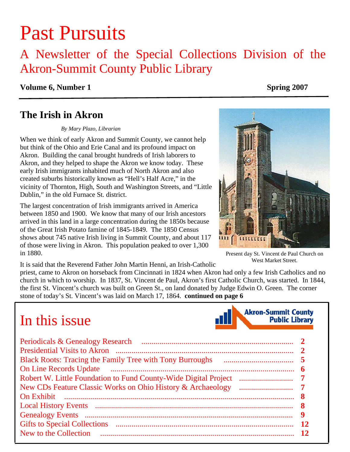# Past Pursuits

### A Newsletter of the Special Collections Division of the Akron-Summit County Public Library

#### **Volume 6, Number 1** Spring 2007

### **The Irish in Akron**

#### *By Mary Plazo, Librarian*

When we think of early Akron and Summit County, we cannot help but think of the Ohio and Erie Canal and its profound impact on Akron. Building the canal brought hundreds of Irish laborers to Akron, and they helped to shape the Akron we know today. These early Irish immigrants inhabited much of North Akron and also created suburbs historically known as "Hell's Half Acre," in the vicinity of Thornton, High, South and Washington Streets, and "Little Dublin," in the old Furnace St. district.

The largest concentration of Irish immigrants arrived in America between 1850 and 1900. We know that many of our Irish ancestors arrived in this land in a large concentration during the 1850s because of the Great Irish Potato famine of 1845-1849. The 1850 Census shows about 745 native Irish living in Summit County, and about 117 of those were living in Akron. This population peaked to over 1,300 in 1880.

It is said that the Reverend Father John Martin Henni, an Irish-Catholic

priest, came to Akron on horseback from Cincinnati in 1824 when Akron had only a few Irish Catholics and no church in which to worship. In 1837, St. Vincent de Paul, Akron's first Catholic Church, was started. In 1844, the first St. Vincent's church was built on Green St., on land donated by Judge Edwin O. Green. The corner stone of today's St. Vincent's was laid on March 17, 1864. **[continued on page 6](#page-5-0)** 

## In this issue

| Periodicals & Genealogy Research<br>Robert W. Little Foundation to Fund County-Wide Digital Project | 6  |
|-----------------------------------------------------------------------------------------------------|----|
|                                                                                                     |    |
|                                                                                                     | 9  |
|                                                                                                     | 12 |
| New to the Collection                                                                               |    |

**Akron-Summit County** 

**Public Library** 



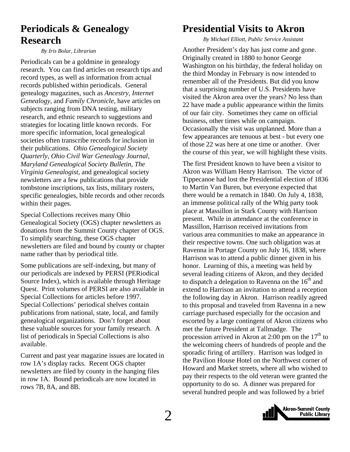### <span id="page-1-0"></span>**Periodicals & Genealogy Research**

*By Iris Bolar, Librarian* 

Periodicals can be a goldmine in genealogy research. You can find articles on research tips and record types, as well as information from actual records published within periodicals. General genealogy magazines, such as *Ancestry, Internet Genealogy,* and *Family Chronicle*, have articles on subjects ranging from DNA testing, military research, and ethnic research to suggestions and strategies for locating little known records. For more specific information, local genealogical societies often transcribe records for inclusion in their publications. *Ohio Genealogical Society Quarterly, Ohio Civil War Genealogy Journal*, *Maryland Genealogical Society Bulletin, The Virginia Genealogist*, and genealogical society newsletters are a few publications that provide tombstone inscriptions, tax lists, military rosters, specific genealogies, bible records and other records within their pages.

Special Collections receives many Ohio Genealogical Society (OGS) chapter newsletters as donations from the Summit County chapter of OGS. To simplify searching, these OGS chapter newsletters are filed and bound by county or chapter name rather than by periodical title.

Some publications are self-indexing, but many of our periodicals are indexed by PERSI (PERiodical Source Index), which is available through Heritage Quest. Print volumes of PERSI are also available in Special Collections for articles before 1997. Special Collections' periodical shelves contain publications from national, state, local, and family genealogical organizations. Don't forget about these valuable sources for your family research. A list of periodicals in Special Collections is also available.

Current and past year magazine issues are located in row 1A's display racks. Recent OGS chapter newsletters are filed by county in the hanging files in row 1A. Bound periodicals are now located in rows 7B, 8A, and 8B.

### **Presidential Visits to Akron**

*By Michael Elliott, Public Service Assistant* 

Another President's day has just come and gone. Originally created in 1880 to honor George Washington on his birthday, the federal holiday on the third Monday in February is now intended to remember all of the Presidents. But did you know that a surprising number of U.S. Presidents have visited the Akron area over the years? No less than 22 have made a public appearance within the limits of our fair city. Sometimes they came on official business, other times while on campaign. Occasionally the visit was unplanned. More than a few appearances are tenuous at best - but every one of those 22 was here at one time or another. Over the course of this year, we will highlight these visits.

The first President known to have been a visitor to Akron was William Henry Harrison. The victor of Tippecanoe had lost the Presidential election of 1836 to Martin Van Buren, but everyone expected that there would be a rematch in 1840. On July 4, 1838, an immense political rally of the Whig party took place at Massillon in Stark County with Harrison present. While in attendance at the conference in Massillon, Harrison received invitations from various area communities to make an appearance in their respective towns. One such obligation was at Ravenna in Portage County on July 16, 1838, where Harrison was to attend a public dinner given in his honor. Learning of this, a meeting was held by several leading citizens of Akron, and they decided to dispatch a delegation to Ravenna on the  $16<sup>th</sup>$  and extend to Harrison an invitation to attend a reception the following day in Akron. Harrison readily agreed to this proposal and traveled from Ravenna in a new carriage purchased especially for the occasion and escorted by a large contingent of Akron citizens who met the future President at Tallmadge. The procession arrived in Akron at 2:00 pm on the  $17<sup>th</sup>$  to the welcoming cheers of hundreds of people and the sporadic firing of artillery. Harrison was lodged in the Pavilion House Hotel on the Northwest corner of Howard and Market streets, where all who wished to pay their respects to the old veteran were granted the opportunity to do so. A dinner was prepared for several hundred people and was followed by a brief

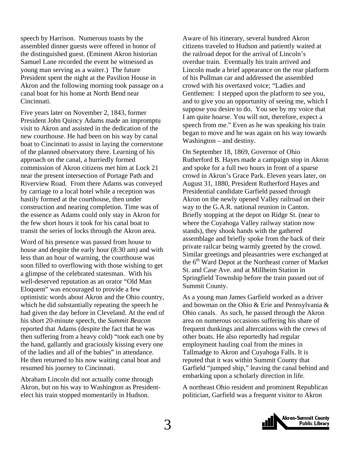speech by Harrison. Numerous toasts by the assembled dinner guests were offered in honor of the distinguished guest. (Eminent Akron historian Samuel Lane recorded the event he witnessed as young man serving as a waiter.) The future President spent the night at the Pavilion House in Akron and the following morning took passage on a canal boat for his home at North Bend near Cincinnati.

Five years later on November 2, 1843, former President John Quincy Adams made an impromptu visit to Akron and assisted in the dedication of the new courthouse. He had been on his way by canal boat to Cincinnati to assist in laying the cornerstone of the planned observatory there. Learning of his approach on the canal, a hurriedly formed commission of Akron citizens met him at Lock 21 near the present intersection of Portage Path and Riverview Road. From there Adams was conveyed by carriage to a local hotel while a reception was hastily formed at the courthouse, then under construction and nearing completion. Time was of the essence as Adams could only stay in Akron for the few short hours it took for his canal boat to transit the series of locks through the Akron area.

Word of his presence was passed from house to house and despite the early hour (8:30 am) and with less than an hour of warning, the courthouse was soon filled to overflowing with those wishing to get a glimpse of the celebrated statesman. With his well-deserved reputation as an orator "Old Man Eloquent" was encouraged to provide a few optimistic words about Akron and the Ohio country, which he did substantially repeating the speech he had given the day before in Cleveland. At the end of his short 20-minute speech, the *Summit Beacon* reported that Adams (despite the fact that he was then suffering from a heavy cold) "took each one by the hand, gallantly and graciously kissing every one of the ladies and all of the babies" in attendance. He then returned to his now waiting canal boat and resumed his journey to Cincinnati.

Abraham Lincoln did not actually come through Akron, but on his way to Washington as Presidentelect his train stopped momentarily in Hudson.

Aware of his itinerary, several hundred Akron citizens traveled to Hudson and patiently waited at the railroad depot for the arrival of Lincoln's overdue train. Eventually his train arrived and Lincoln made a brief appearance on the rear platform of his Pullman car and addressed the assembled crowd with his overtaxed voice; "Ladies and Gentlemen: I stepped upon the platform to see you, and to give you an opportunity of seeing me, which I suppose you desire to do. You see by my voice that I am quite hoarse. You will not, therefore, expect a speech from me." Even as he was speaking his train began to move and he was again on his way towards Washington – and destiny.

On September 18, 1869, Governor of Ohio Rutherford B. Hayes made a campaign stop in Akron and spoke for a full two hours in front of a sparse crowd in Akron's Grace Park. Eleven years later, on August 31, 1880, President Rutherford Hayes and Presidential candidate Garfield passed through Akron on the newly opened Valley railroad on their way to the G.A.R. national reunion in Canton. Briefly stopping at the depot on Ridge St. (near to where the Cuyahoga Valley railway station now stands), they shook hands with the gathered assemblage and briefly spoke from the back of their private railcar being warmly greeted by the crowd. Similar greetings and pleasantries were exchanged at the  $6<sup>th</sup>$  Ward Depot at the Northeast corner of Market St. and Case Ave. and at Millheim Station in Springfield Township before the train passed out of Summit County.

As a young man James Garfield worked as a driver and bowman on the Ohio & Erie and Pennsylvania & Ohio canals. As such, he passed through the Akron area on numerous occasions suffering his share of frequent dunkings and altercations with the crews of other boats. He also reportedly had regular employment hauling coal from the mines in Tallmadge to Akron and Cuyahoga Falls. It is reputed that it was within Summit County that Garfield "jumped ship," leaving the canal behind and embarking upon a scholarly direction in life.

A northeast Ohio resident and prominent Republican politician, Garfield was a frequent visitor to Akron

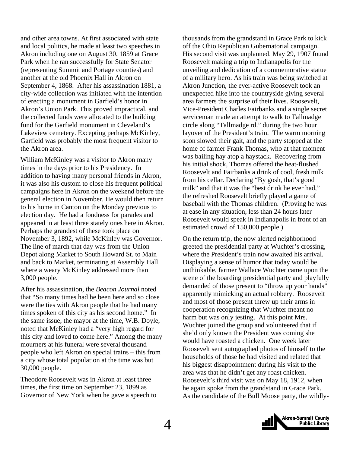and other area towns. At first associated with state and local politics, he made at least two speeches in Akron including one on August 30, 1859 at Grace Park when he ran successfully for State Senator (representing Summit and Portage counties) and another at the old Phoenix Hall in Akron on September 4, 1868. After his assassination 1881, a city-wide collection was initiated with the intention of erecting a monument in Garfield's honor in Akron's Union Park. This proved impractical, and the collected funds were allocated to the building fund for the Garfield monument in Cleveland's Lakeview cemetery. Excepting perhaps McKinley, Garfield was probably the most frequent visitor to the Akron area.

William McKinley was a visitor to Akron many times in the days prior to his Presidency. In addition to having many personal friends in Akron, it was also his custom to close his frequent political campaigns here in Akron on the weekend before the general election in November. He would then return to his home in Canton on the Monday previous to election day. He had a fondness for parades and appeared in at least three stately ones here in Akron. Perhaps the grandest of these took place on November 3, 1892, while McKinley was Governor. The line of march that day was from the Union Depot along Market to South Howard St. to Main and back to Market, terminating at Assembly Hall where a weary McKinley addressed more than 3,000 people.

After his assassination, the *Beacon Journal* noted that "So many times had he been here and so close were the ties with Akron people that he had many times spoken of this city as his second home." In the same issue, the mayor at the time, W.B. Doyle, noted that McKinley had a "very high regard for this city and loved to come here." Among the many mourners at his funeral were several thousand people who left Akron on special trains – this from a city whose total population at the time was but 30,000 people.

Theodore Roosevelt was in Akron at least three times, the first time on September 23, 1899 as Governor of New York when he gave a speech to thousands from the grandstand in Grace Park to kick off the Ohio Republican Gubernatorial campaign. His second visit was unplanned. May 29, 1907 found Roosevelt making a trip to Indianapolis for the unveiling and dedication of a commemorative statue of a military hero. As his train was being switched at Akron Junction, the ever-active Roosevelt took an unexpected hike into the countryside giving several area farmers the surprise of their lives. Roosevelt, Vice-President Charles Fairbanks and a single secret serviceman made an attempt to walk to Tallmadge circle along "Tallmadge rd." during the two hour layover of the President's train. The warm morning soon slowed their gait, and the party stopped at the home of farmer Frank Thomas, who at that moment was bailing hay atop a haystack. Recovering from his initial shock, Thomas offered the heat-flushed Roosevelt and Fairbanks a drink of cool, fresh milk from his cellar. Declaring "By gosh, that's good milk" and that it was the "best drink he ever had," the refreshed Roosevelt briefly played a game of baseball with the Thomas children. (Proving he was at ease in any situation, less than 24 hours later Roosevelt would speak in Indianapolis in front of an estimated crowd of 150,000 people.)

On the return trip, the now alerted neighborhood greeted the presidential party at Wuchter's crossing, where the President's train now awaited his arrival. Displaying a sense of humor that today would be unthinkable, farmer Wallace Wuchter came upon the scene of the boarding presidential party and playfully demanded of those present to "throw up your hands" apparently mimicking an actual robbery. Roosevelt and most of those present threw up their arms in cooperation recognizing that Wuchter meant no harm but was only jesting. At this point Mrs. Wuchter joined the group and volunteered that if she'd only known the President was coming she would have roasted a chicken. One week later Roosevelt sent autographed photos of himself to the households of those he had visited and related that his biggest disappointment during his visit to the area was that he didn't get any roast chicken. Roosevelt's third visit was on May 18, 1912, when he again spoke from the grandstand in Grace Park. As the candidate of the Bull Moose party, the wildly-

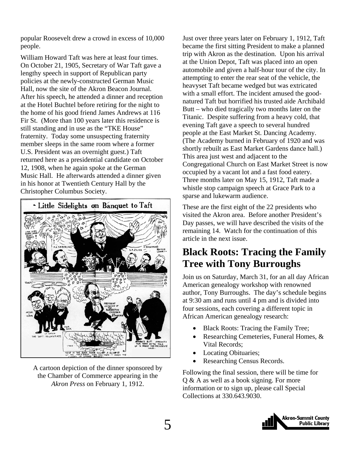<span id="page-4-0"></span>popular Roosevelt drew a crowd in excess of 10,000 people.

William Howard Taft was here at least four times. On October 21, 1905, Secretary of War Taft gave a lengthy speech in support of Republican party policies at the newly-constructed German Music Hall, now the site of the Akron Beacon Journal. After his speech, he attended a dinner and reception at the Hotel Buchtel before retiring for the night to the home of his good friend James Andrews at 116 Fir St. (More than 100 years later this residence is still standing and in use as the "TKE House" fraternity. Today some unsuspecting fraternity member sleeps in the same room where a former U.S. President was an overnight guest.) Taft returned here as a presidential candidate on October 12, 1908, when he again spoke at the German Music Hall. He afterwards attended a dinner given in his honor at Twentieth Century Hall by the Christopher Columbus Society.



A cartoon depiction of the dinner sponsored by the Chamber of Commerce appearing in the *Akron Press* on February 1, 1912.

Just over three years later on February 1, 1912, Taft became the first sitting President to make a planned trip with Akron as the destination. Upon his arrival at the Union Depot, Taft was placed into an open automobile and given a half-hour tour of the city. In attempting to enter the rear seat of the vehicle, the heavyset Taft became wedged but was extricated with a small effort. The incident amused the goodnatured Taft but horrified his trusted aide Archibald Butt – who died tragically two months later on the Titanic. Despite suffering from a heavy cold, that evening Taft gave a speech to several hundred people at the East Market St. Dancing Academy. (The Academy burned in February of 1920 and was shortly rebuilt as East Market Gardens dance hall.) This area just west and adjacent to the Congregational Church on East Market Street is now occupied by a vacant lot and a fast food eatery. Three months later on May 15, 1912, Taft made a whistle stop campaign speech at Grace Park to a sparse and lukewarm audience.

These are the first eight of the 22 presidents who visited the Akron area. Before another President's Day passes, we will have described the visits of the remaining 14. Watch for the continuation of this article in the next issue.

### **Black Roots: Tracing the Family Tree with Tony Burroughs**

Join us on Saturday, March 31, for an all day African American genealogy workshop with renowned author, Tony Burroughs. The day's schedule begins at 9:30 am and runs until 4 pm and is divided into four sessions, each covering a different topic in African American genealogy research:

- Black Roots: Tracing the Family Tree;
- Researching Cemeteries, Funeral Homes, & Vital Records;
- Locating Obituaries;
- Researching Census Records.

Following the final session, there will be time for Q & A as well as a book signing. For more information or to sign up, please call Special Collections at 330.643.9030.

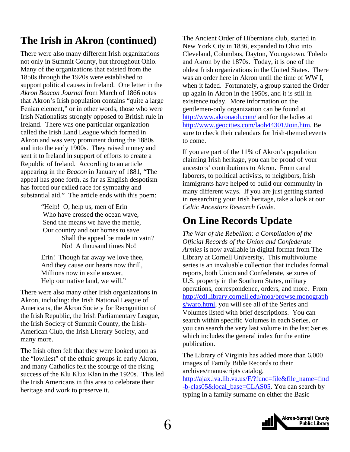### <span id="page-5-0"></span>**The Irish in Akron (continued)**

There were also many different Irish organizations not only in Summit County, but throughout Ohio. Many of the organizations that existed from the 1850s through the 1920s were established to support political causes in Ireland. One letter in the *Akron Beacon Journal* from March of 1866 notes that Akron's Irish population contains "quite a large Fenian element," or in other words, those who were Irish Nationalists strongly opposed to British rule in Ireland. There was one particular organization called the Irish Land League which formed in Akron and was very prominent during the 1880s and into the early 1900s. They raised money and sent it to Ireland in support of efforts to create a Republic of Ireland. According to an article appearing in the *Beacon* in January of 1881, "The appeal has gone forth, as far as English despotism has forced our exiled race for sympathy and substantial aid." The article ends with this poem:

> "Help! O, help us, men of Erin Who have crossed the ocean wave, Send the means we have the mettle, Our country and our homes to save. Shall the appeal be made in vain? No! A thousand times No!

Erin! Though far away we love thee, And they cause our hearts now thrill, Millions now in exile answer, Help our native land, we will."

There were also many other Irish organizations in Akron, including: the Irish National League of Americans, the Akron Society for Recognition of the Irish Republic, the Irish Parliamentary League, the Irish Society of Summit County, the Irish-American Club, the Irish Literary Society, and many more.

The Irish often felt that they were looked upon as the "lowliest" of the ethnic groups in early Akron, and many Catholics felt the scourge of the rising success of the Klu Klux Klan in the 1920s. This led the Irish Americans in this area to celebrate their heritage and work to preserve it.

The Ancient Order of Hibernians club, started in New York City in 1836, expanded to Ohio into Cleveland, Columbus, Dayton, Youngstown, Toledo and Akron by the 1870s. Today, it is one of the oldest Irish organizations in the United States. There was an order here in Akron until the time of WW I, when it faded. Fortunately, a group started the Order up again in Akron in the 1950s, and it is still in existence today. More information on the gentlemen-only organization can be found at <http://www.akronaoh.com/>and for the ladies at [http://www.geocities.com/laoh44301/Join.htm.](http://www.geocities.com/laoh44301/Join.htm) Be sure to check their calendars for Irish-themed events to come.

If you are part of the 11% of Akron's population claiming Irish heritage, you can be proud of your ancestors' contributions to Akron. From canal laborers, to political activists, to neighbors, Irish immigrants have helped to build our community in many different ways. If you are just getting started in researching your Irish heritage, take a look at our *[Celtic Ancestors Research Guide](http://www.akronlibrary.org/internetresources/sc/pathfinders/celticancestors.pdf)*.

### **On Line Records Update**

*The War of the Rebellion: a Compilation of the Official Records of the Union and Confederate Armies* is now available in digital format from The Library at Cornell University. This multivolume series is an invaluable collection that includes formal reports, both Union and Confederate, seizures of U.S. property in the Southern States, military operations, correspondence, orders, and more. From [http://cdl.library.cornell.edu/moa/browse.monograph](http://cdl.library.cornell.edu/moa/browse.monographs/waro.html) [s/waro.html](http://cdl.library.cornell.edu/moa/browse.monographs/waro.html), you will see all of the Series and Volumes listed with brief descriptions. You can search within specific Volumes in each Series, or you can search the very last volume in the last Series which includes the general index for the entire publication.

The Library of Virginia has added more than 6,000 images of Family Bible Records to their archives/manuscripts catalog, [http://ajax.lva.lib.va.us/F/?func=file&file\\_name=find](http://ajax.lva.lib.va.us/F/?func=file&file_name=find-b-clas05&local_base=CLAS05) [-b-clas05&local\\_base=CLAS05](http://ajax.lva.lib.va.us/F/?func=file&file_name=find-b-clas05&local_base=CLAS05). You can search by typing in a family surname on either the Basic

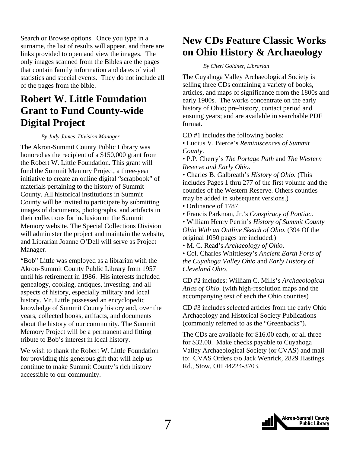<span id="page-6-0"></span>Search or Browse options. Once you type in a surname, the list of results will appear, and there are links provided to open and view the images. The only images scanned from the Bibles are the pages that contain family information and dates of vital statistics and special events. They do not include all of the pages from the bible.

### **Robert W. Little Foundation Grant to Fund County-wide Digital Project**

#### *By Judy James, Division Manager*

The Akron-Summit County Public Library was honored as the recipient of a \$150,000 grant from the Robert W. Little Foundation. This grant will fund the Summit Memory Project, a three-year initiative to create an online digital "scrapbook" of materials pertaining to the history of Summit County. All historical institutions in Summit County will be invited to participate by submitting images of documents, photographs, and artifacts in their collections for inclusion on the Summit Memory website. The Special Collections Division will administer the project and maintain the website, and Librarian Joanne O'Dell will serve as Project Manager.

"Bob" Little was employed as a librarian with the Akron-Summit County Public Library from 1957 until his retirement in 1986. His interests included genealogy, cooking, antiques, investing, and all aspects of history, especially military and local history. Mr. Little possessed an encyclopedic knowledge of Summit County history and, over the years, collected books, artifacts, and documents about the history of our community. The Summit Memory Project will be a permanent and fitting tribute to Bob's interest in local history.

We wish to thank the Robert W. Little Foundation for providing this generous gift that will help us continue to make Summit County's rich history accessible to our community.

### **New CDs Feature Classic Works on Ohio History & Archaeology**

*By Cheri Goldner, Librarian* 

The Cuyahoga Valley Archaeological Society is selling three CDs containing a variety of books, articles, and maps of significance from the 1800s and early 1900s. The works concentrate on the early history of Ohio; pre-history, contact period and ensuing years; and are available in searchable PDF format.

CD #1 includes the following books:

• Lucius V. Bierce's *Reminiscences of Summit County*.

• P.P. Cherry's *The Portage Path* and *The Western Reserve and Early Ohio*.

• Charles B. Galbreath's *History of Ohio.* (This includes Pages 1 thru 277 of the first volume and the counties of the Western Reserve. Others counties may be added in subsequent versions.)

• Ordinance of 1787.

• Francis Parkman, Jr.'s *Conspiracy of Pontiac*.

• William Henry Perrin's *History of Summit County Ohio With an Outline Sketch of Ohio*. (394 Of the original 1050 pages are included.)

• M. C. Read's *Archaeology of Ohio*.

• Col. Charles Whittlesey's *Ancient Earth Forts of the Cuyahoga Valley Ohio* and *Early History of Cleveland Ohio*.

CD #2 includes: William C. Mills's *Archaeological Atlas of Ohio*. (with high-resolution maps and the accompanying text of each the Ohio counties)

CD #3 includes selected articles from the early Ohio Archaeology and Historical Society Publications (commonly referred to as the "Greenbacks").

The CDs are available for \$16.00 each, or all three for \$32.00. Make checks payable to Cuyahoga Valley Archaeological Society (or CVAS) and mail to: CVAS Orders c/o Jack Wenrick, 2829 Hastings Rd., Stow, OH 44224-3703.

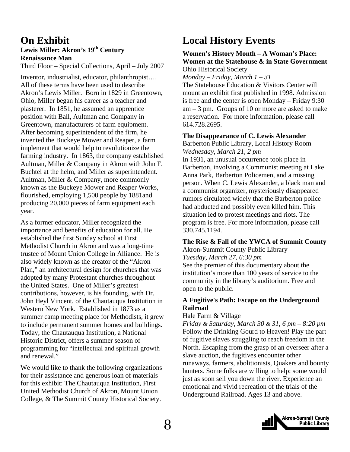## <span id="page-7-0"></span>**On Exhibit**

#### Lewis Miller: Akron's 19<sup>th</sup> Century **Renaissance Man**

Third Floor – Special Collections, April – July 2007

Inventor, industrialist, educator, philanthropist…. All of these terms have been used to describe Akron's Lewis Miller. Born in 1829 in Greentown, Ohio, Miller began his career as a teacher and plasterer. In 1851, he assumed an apprentice position with Ball, Aultman and Company in Greentown, manufacturers of farm equipment. After becoming superintendent of the firm, he invented the Buckeye Mower and Reaper, a farm implement that would help to revolutionize the farming industry. In 1863, the company established Aultman, Miller & Company in Akron with John F. Buchtel at the helm, and Miller as superintendent. Aultman, Miller & Company, more commonly known as the Buckeye Mower and Reaper Works, flourished, employing 1,500 people by 1881and producing 20,000 pieces of farm equipment each year.

As a former educator, Miller recognized the importance and benefits of education for all. He established the first Sunday school at First Methodist Church in Akron and was a long-time trustee of Mount Union College in Alliance. He is also widely known as the creator of the "Akron Plan," an architectural design for churches that was adopted by many Protestant churches throughout the United States. One of Miller's greatest contributions, however, is his founding, with Dr. John Heyl Vincent, of the Chautauqua Institution in Western New York. Established in 1873 as a summer camp meeting place for Methodists, it grew to include permanent summer homes and buildings. Today, the Chautauqua Institution, a National Historic District, offers a summer season of programming for "intellectual and spiritual growth and renewal."

We would like to thank the following organizations for their assistance and generous loan of materials for this exhibit: The Chautauqua Institution, First United Methodist Church of Akron, Mount Union College, & The Summit County Historical Society.

### **Local History Events**

#### **Women's History Month – A Woman's Place: Women at the Statehouse & in State Government**  Ohio Historical Society

*Monday – Friday, March 1 – 31* 

The Statehouse Education & Visitors Center will mount an exhibit first published in 1998. Admission is free and the center is open Monday – Friday 9:30 am – 3 pm. Groups of 10 or more are asked to make a reservation. For more information, please call 614.728.2695.

#### **The Disappearance of C. Lewis Alexander**

Barberton Public Library, Local History Room *Wednesday, March 21, 2 pm* 

In 1931, an unusual occurrence took place in Barberton, involving a Communist meeting at Lake Anna Park, Barberton Policemen, and a missing person. When C. Lewis Alexander, a black man and a communist organizer, mysteriously disappeared rumors circulated widely that the Barberton police had abducted and possibly even killed him. This situation led to protest meetings and riots. The program is free. For more information, please call 330.745.1194.

#### **The Rise & Fall of the YWCA of Summit County**

Akron-Summit County Public Library *Tuesday, March 27, 6:30 pm*  See the premier of this documentary about the institution's more than 100 years of service to the community in the library's auditorium. Free and open to the public.

#### **A Fugitive's Path: Escape on the Underground Railroad**

#### Hale Farm & Village

*Friday & Saturday, March 30 & 31, 6 pm – 8:20 pm*  Follow the Drinking Gourd to Heaven! Play the part of fugitive slaves struggling to reach freedom in the North. Escaping from the grasp of an overseer after a slave auction, the fugitives encounter other runaways, farmers, abolitionists, Quakers and bounty hunters. Some folks are willing to help; some would just as soon sell you down the river. Experience an emotional and vivid recreation of the trials of the Underground Railroad. Ages 13 and above.

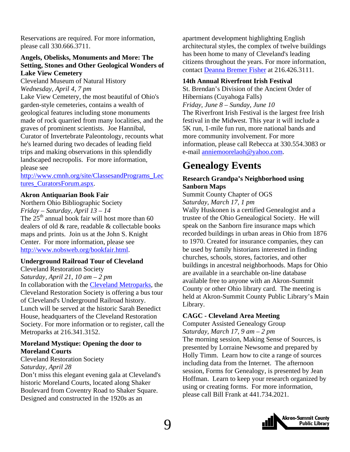<span id="page-8-0"></span>Reservations are required. For more information, please call 330.666.3711.

#### **Angels, Obelisks, Monuments and More: The Setting, Stones and Other Geological Wonders of Lake View Cemetery**

Cleveland Museum of Natural History *Wednesday, April 4, 7 pm* 

Lake View Cemetery, the most beautiful of Ohio's garden-style cemeteries, contains a wealth of geological features including stone monuments made of rock quarried from many localities, and the graves of prominent scientists. Joe Hannibal, Curator of Invertebrate Paleontology, recounts what he's learned during two decades of leading field trips and making observations in this splendidly landscaped necropolis. For more information, please see

[http://www.cmnh.org/site/ClassesandPrograms\\_Lec](http://www.cmnh.org/site/ClassesandPrograms_Lectures_CuratorsForum.aspx) [tures\\_CuratorsForum.aspx.](http://www.cmnh.org/site/ClassesandPrograms_Lectures_CuratorsForum.aspx)

#### **Akron Antiquarian Book Fair**

Northern Ohio Bibliographic Society *Friday – Saturday, April 13 – 14*  The  $25<sup>th</sup>$  annual book fair will host more than 60 dealers of old & rare, readable & collectable books maps and prints. Join us at the John S. Knight Center. For more information, please see <http://www.nobsweb.org/bookfair.html>.

#### **Underground Railroad Tour of Cleveland**

Cleveland Restoration Society *Saturday, April 21, 10 am – 2 pm*  In collaboration with the [Cleveland Metroparks](http://www.clemetparks.com/), the Cleveland Restoration Society is offering a bus tour of Cleveland's Underground Railroad history. Lunch will be served at the historic Sarah Benedict House, headquarters of the Cleveland Restoration Society. For more information or to register, call the Metroparks at 216.341.3152.

#### **Moreland Mystique: Opening the door to Moreland Courts**

Cleveland Restoration Society *Saturday, April 28* 

Don't miss this elegant evening gala at Cleveland's historic Moreland Courts, located along Shaker Boulevard from Coventry Road to Shaker Square. Designed and constructed in the 1920s as an

apartment development highlighting English architectural styles, the complex of twelve buildings has been home to many of Cleveland's leading citizens throughout the years. For more information, contact [Deanna Bremer Fisher](mailto:dbremer@clevelandrestoration.org) at 216.426.3111.

#### **14th Annual Riverfront Irish Festival**

St. Brendan's Division of the Ancient Order of Hibernians (Cuyahoga Falls) *Friday, June 8 – Sunday, June 10*  The Riverfront Irish Festival is the largest free Irish festival in the Midwest. This year it will include a 5K run, 1-mile fun run, more national bands and more community involvement. For more information, please call Rebecca at 330.554.3083 or e-mail [anniemoorelaoh@yahoo.com.](mailto:anniemoorelaoh@yahoo.com)

### **Genealogy Events**

#### **Research Grandpa's Neighborhood using Sanborn Maps**

Summit County Chapter of OGS *Saturday, March 17, 1 pm* 

Wally Huskonen is a certified Genealogist and a trustee of the Ohio Genealogical Society. He will speak on the Sanborn fire insurance maps which recorded buildings in urban areas in Ohio from 1876 to 1970. Created for insurance companies, they can be used by family historians interested in finding churches, schools, stores, factories, and other buildings in ancestral neighborhoods. Maps for Ohio are available in a searchable on-line database available free to anyone with an Akron-Summit County or other Ohio library card. The meeting is held at Akron-Summit County Public Library's Main Library.

#### **CAGC - Cleveland Area Meeting**

Computer Assisted Genealogy Group *Saturday, March 17, 9 am – 2 pm*  The morning session, Making Sense of Sources, is presented by Lorraine Newsome and prepared by Holly Timm. Learn how to cite a range of sources including data from the Internet. The afternoon session, Forms for Genealogy, is presented by Jean Hoffman. Learn to keep your research organized by using or creating forms. For more information, please call Bill Frank at 441.734.2021.

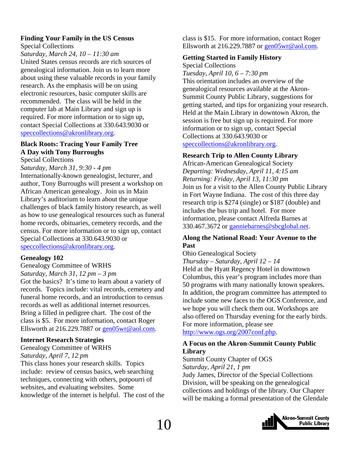### **Finding Your Family in the US Census**

#### Special Collections

*Saturday, March 24, 10 – 11:30 am* 

United States census records are rich sources of genealogical information. Join us to learn more about using these valuable records in your family research. As the emphasis will be on using electronic resources, basic computer skills are recommended. The class will be held in the computer lab at Main Library and sign up is required. For more information or to sign up, contact Special Collections at 330.643.9030 or [speccollections@akronlibrary.org.](mailto:speccollections@akronlibrary.org)

#### **Black Roots: Tracing Your Family Tree A Day with Tony Burroughs**

Special Collections

*Saturday, March 31, 9:30 - 4 pm* 

Internationally-known genealogist, lecturer, and author, Tony Burroughs will present a workshop on African American genealogy. Join us in Main Library's auditorium to learn about the unique challenges of black family history research, as well as how to use genealogical resources such as funeral home records, obituaries, cemetery records, and the census. For more information or to sign up, contact Special Collections at 330.643.9030 or [speccollections@akronlibrary.org.](mailto:speccollections@akronlibrary.org)

#### **Genealogy 102**

#### Genealogy Committee of WRHS *Saturday, March 31, 12 pm – 3 pm*

Got the basics? It's time to learn about a variety of records. Topics include: vital records, cemetery and funeral home records, and an introduction to census records as well as additional internet resources. Bring a filled in pedigree chart. The cost of the class is \$5. For more information, contact Roger Ellsworth at 216.229.7887 or [gen05wr@aol.com.](mailto:gen05wr@aol.com)

#### **Internet Research Strategies**

Genealogy Committee of WRHS *Saturday, April 7, 12 pm* 

This class hones your research skills. Topics include: review of census basics, web searching techniques, connecting with others, potpourri of websites, and evaluating websites. Some knowledge of the internet is helpful. The cost of the class is \$15. For more information, contact Roger Ellsworth at 216.229.7887 or [gen05wr@aol.com](mailto:gen05wr@aol.com).

#### **Getting Started in Family History**

Special Collections *Tuesday, April 10, 6 – 7:30 pm* 

This orientation includes an overview of the genealogical resources available at the Akron-Summit County Public Library, suggestions for getting started, and tips for organizing your research. Held at the Main Library in downtown Akron, the session is free but sign up is required. For more information or to sign up, contact Special Collections at 330.643.9030 or [speccollections@akronlibrary.org](mailto:speccollections@akronlibrary.org).

#### **Research Trip to Allen County Library**

African-American Genealogical Society *Departing: Wednesday, April 11, 4:15 am Returning: Friday, April 13, 11:30 pm*  Join us for a visit to the Allen County Public Library in Fort Wayne Indiana. The cost of this three day research trip is \$274 (single) or \$187 (double) and includes the bus trip and hotel. For more information, please contact Alfreda Barnes at 330.467.3672 or [ganniebarnes@sbcglobal.net.](mailto:ganniebarnes@sbcglobal.net)

#### **Along the National Road: Your Avenue to the Past**

Ohio Genealogical Society

*Thursday – Saturday, April 12 – 14*  Held at the Hyatt Regency Hotel in downtown Columbus, this year's program includes more than 50 programs with many nationally known speakers. In addition, the program committee has attempted to include some new faces to the OGS Conference, and we hope you will check them out. Workshops are also offered on Thursday evening for the early birds. For more information, please see <http://www.ogs.org/2007conf.php>.

#### **A Focus on the Akron-Summit County Public Library**

#### Summit County Chapter of OGS

*Saturday, April 21, 1 pm*  Judy James, Director of the Special Collections Division, will be speaking on the genealogical collections and holdings of the library. Our Chapter will be making a formal presentation of the Glendale

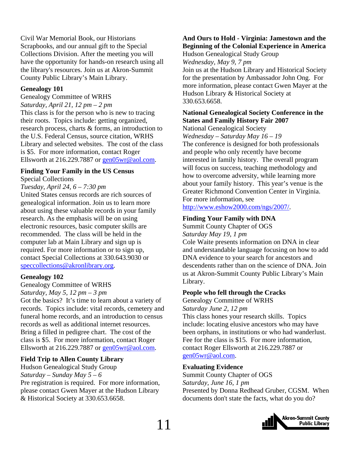Civil War Memorial Book, our Historians Scrapbooks, and our annual gift to the Special Collections Division. After the meeting you will have the opportunity for hands-on research using all the library's resources. Join us at Akron-Summit County Public Library's Main Library.

#### **Genealogy 101**

Genealogy Committee of WRHS *Saturday, April 21, 12 pm – 2 pm*  This class is for the person who is new to tracing their roots. Topics include: getting organized, research process, charts & forms, an introduction to the U.S. Federal Census, source citation, WRHS Library and selected websites. The cost of the class is \$5. For more information, contact Roger Ellsworth at 216.229.7887 or [gen05wr@aol.com.](mailto:gen05wr@aol.com)

#### **Finding Your Family in the US Census**

Special Collections

#### *Tuesday, April 24, 6 – 7:30 pm*

United States census records are rich sources of genealogical information. Join us to learn more about using these valuable records in your family research. As the emphasis will be on using electronic resources, basic computer skills are recommended. The class will be held in the computer lab at Main Library and sign up is required. For more information or to sign up, contact Special Collections at 330.643.9030 or [speccollections@akronlibrary.org.](mailto:speccollections@akronlibrary.org)

#### **Genealogy 102**

#### Genealogy Committee of WRHS

*Saturday, May 5, 12 pm – 3 pm* 

Got the basics? It's time to learn about a variety of records. Topics include: vital records, cemetery and funeral home records, and an introduction to census records as well as additional internet resources. Bring a filled in pedigree chart. The cost of the class is \$5. For more information, contact Roger Ellsworth at 216.229.7887 or [gen05wr@aol.com.](mailto:gen05wr@aol.com)

#### **Field Trip to Allen County Library**

Hudson Genealogical Study Group *Saturday – Sunday May 5 – 6*  Pre registration is required. For more information, please contact Gwen Mayer at the Hudson Library & Historical Society at 330.653.6658.

### **And Ours to Hold - Virginia: Jamestown and the Beginning of the Colonial Experience in America**

Hudson Genealogical Study Group *Wednesday, May 9, 7 pm*  Join us at the Hudson Library and Historical Society for the presentation by Ambassador John Ong. For more information, please contact Gwen Mayer at the Hudson Library & Historical Society at 330.653.6658.

#### **National Genealogical Society Conference in the States and Family History Fair 2007**

National Genealogical Society *Wednesday – Saturday May 16 – 19*  The conference is designed for both professionals and people who only recently have become interested in family history. The overall program will focus on success, teaching methodology and how to overcome adversity, while learning more about your family history. This year's venue is the Greater Richmond Convention Center in Virginia. For more information, see

<http://www.eshow2000.com/ngs/2007/>.

#### **Finding Your Family with DNA**

Summit County Chapter of OGS *Saturday May 19, 1 pm*

Cole Waite presents information on DNA in clear and understandable language focusing on how to add DNA evidence to your search for ancestors and descendents rather than on the science of DNA. Join us at Akron-Summit County Public Library's Main Library.

#### **People who fell through the Cracks**

Genealogy Committee of WRHS

*Saturday June 2, 12 pm* 

This class hones your research skills. Topics include: locating elusive ancestors who may have been orphans, in institutions or who had wanderlust. Fee for the class is \$15. For more information, contact Roger Ellsworth at 216.229.7887 or [gen05wr@aol.com.](mailto:gen05wr@aol.com)

#### **Evaluating Evidence**

Summit County Chapter of OGS *Saturday, June 16, 1 pm*  Presented by Donna Redhead Gruber, CGSM. When documents don't state the facts, what do you do?

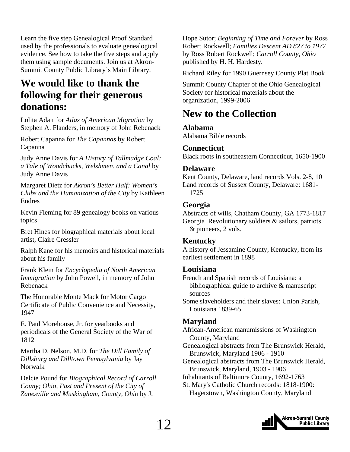<span id="page-11-0"></span>Learn the five step Genealogical Proof Standard used by the professionals to evaluate genealogical evidence. See how to take the five steps and apply them using sample documents. Join us at Akron-Summit County Public Library's Main Library.

### **We would like to thank the following for their generous donations:**

Lolita Adair for *Atlas of American Migration* by Stephen A. Flanders, in memory of John Rebenack

Robert Capanna for *The Capannas* by Robert Capanna

Judy Anne Davis for *A History of Tallmadge Coal: a Tale of Woodchucks, Welshmen, and a Canal* by Judy Anne Davis

Margaret Dietz for *Akron's Better Half: Women's Clubs and the Humanization of the City* by Kathleen Endres

Kevin Fleming for 89 genealogy books on various topics

Bret Hines for biographical materials about local artist, Claire Cressler

Ralph Kane for his memoirs and historical materials about his family

Frank Klein for *Encyclopedia of North American Immigration* by John Powell, in memory of John Rebenack

The Honorable Monte Mack for Motor Cargo Certificate of Public Convenience and Necessity, 1947

E. Paul Morehouse, Jr. for yearbooks and periodicals of the General Society of the War of 1812

Martha D. Nelson, M.D. for *The Dill Family of Dillsburg and Dilltown Pennsylvania* by Jay Norwalk

Delcie Pound for *Biographical Record of Carroll Couny; Ohio, Past and Present of the City of Zanesville and Muskingham, County, Ohio* by J.

Hope Sutor; *Beginning of Time and Forever* by Ross Robert Rockwell; *Families Descent AD 827 to 1977*  by Ross Robert Rockwell; *Carroll County, Ohio* published by H. H. Hardesty*.*

Richard Riley for 1990 Guernsey County Plat Book

Summit County Chapter of the Ohio Genealogical Society for historical materials about the organization, 1999-2006

### **New to the Collection**

#### **Alabama**

Alabama Bible records

#### **Connecticut**

Black roots in southeastern Connecticut, 1650-1900

#### **Delaware**

Kent County, Delaware, land records Vols. 2-8, 10 Land records of Sussex County, Delaware: 1681- 1725

#### **Georgia**

Abstracts of wills, Chatham County, GA 1773-1817 Georgia Revolutionary soldiers & sailors, patriots & pioneers, 2 vols.

#### **Kentucky**

A history of Jessamine County, Kentucky, from its earliest settlement in 1898

#### **Louisiana**

French and Spanish records of Louisiana: a bibliographical guide to archive & manuscript sources

Some slaveholders and their slaves: Union Parish, Louisiana 1839-65

#### **Maryland**

African-American manumissions of Washington County, Maryland

Genealogical abstracts from The Brunswick Herald, Brunswick, Maryland 1906 - 1910

Genealogical abstracts from The Brunswick Herald, Brunswick, Maryland, 1903 - 1906

Inhabitants of Baltimore County, 1692-1763

St. Mary's Catholic Church records: 1818-1900: Hagerstown, Washington County, Maryland

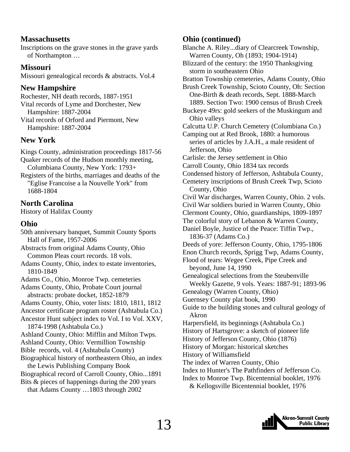#### **Massachusetts**

Inscriptions on the grave stones in the grave yards of Northampton …

#### **Missouri**

Missouri genealogical records & abstracts. Vol.4

#### **New Hampshire**

Rochester, NH death records, 1887-1951 Vital records of Lyme and Dorchester, New Hampshire: 1887-2004 Vital records of Orford and Piermont, New Hampshire: 1887-2004

#### **New York**

Kings County, administration proceedings 1817-56 Quaker records of the Hudson monthly meeting, Columbiana County, New York: 1793+ Registers of the births, marriages and deaths of the "Eglise Francoise a la Nouvelle York" from 1688-1804

#### **North Carolina**

History of Halifax County

#### **Ohio**

50th anniversary banquet, Summit County Sports Hall of Fame, 1957-2006 Abstracts from original Adams County, Ohio Common Pleas court records. 18 vols. Adams County, Ohio, index to estate inventories, 1810-1849 Adams Co., Ohio, Monroe Twp. cemeteries Adams County, Ohio, Probate Court journal abstracts: probate docket, 1852-1879 Adams County, Ohio, voter lists: 1810, 1811, 1812 Ancestor certificate program roster (Ashtabula Co.) Ancestor Hunt subject index to Vol. I to Vol. XXV, 1874-1998 (Ashtabula Co.) Ashland County, Ohio: Mifflin and Milton Twps. Ashland County, Ohio: Vermillion Township Bible records, vol. 4 (Ashtabula County) Biographical history of northeastern Ohio, an index the Lewis Publishing Company Book Biographical record of Carroll County, Ohio...1891 Bits & pieces of happenings during the 200 years that Adams County …1803 through 2002

#### **Ohio (continued)**

Blanche A. Riley...diary of Clearcreek Township, Warren County, Oh (1893; 1904-1914)

Blizzard of the century: the 1950 Thanksgiving storm in southeastern Ohio

Bratton Township cemeteries, Adams County, Ohio

Brush Creek Township, Scioto County, Oh: Section One-Birth & death records, Sept. 1888-March 1889. Section Two: 1900 census of Brush Creek Buckeye 49rs: gold seekers of the Muskingum and Ohio valleys

Calcutta U.P. Church Cemetery (Columbiana Co.)

Camping out at Red Brook, 1880: a humorous series of articles by J.A.H., a male resident of Jefferson, Ohio

Carlisle: the Jersey settlement in Ohio

Carroll County, Ohio 1834 tax records

Condensed history of Jefferson, Ashtabula County,

Cemetery inscriptions of Brush Creek Twp, Scioto County, Ohio

Civil War discharges, Warren County, Ohio. 2 vols. Civil War soldiers buried in Warren County, Ohio Clermont County, Ohio, guardianships, 1809-1897

The colorful story of Lebanon & Warren County,

Daniel Boyle, Justice of the Peace: Tiffin Twp., 1836-37 (Adams Co.)

Deeds of yore: Jefferson County, Ohio, 1795-1806 Enon Church records, Sprigg Twp, Adams County,

Flood of tears: Wegee Creek, Pipe Creek and beyond, June 14, 1990

Genealogical selections from the Steubenville Weekly Gazette, 9 vols. Years: 1887-91; 1893-96

Genealogy (Warren County, Ohio)

Guernsey County plat book, 1990

Guide to the building stones and cultural geology of Akron

Harpersfield, its beginnings (Ashtabula Co.)

- History of Hartsgrove: a sketch of pioneer life
- History of Jefferson County, Ohio (1876)

History of Morgan: historical sketches

History of Williamsfield

- The index of Warren County, Ohio
- Index to Hunter's The Pathfinders of Jefferson Co.
- Index to Monroe Twp. Bicentennial booklet, 1976 & Kellogsville Bicentennial booklet, 1976

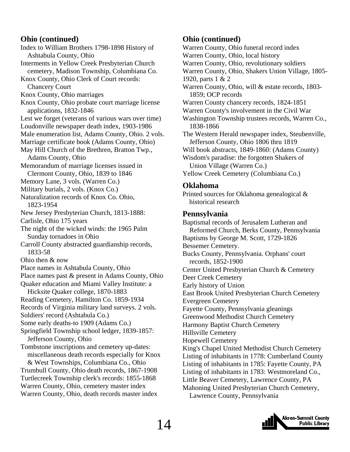#### **Ohio (continued)**

Index to William Brothers 1798-1898 History of Ashtabula County, Ohio Interments in Yellow Creek Presbyterian Church cemetery, Madison Township, Columbiana Co. Knox County, Ohio Clerk of Court records: Chancery Court Knox County, Ohio marriages Knox County, Ohio probate court marriage license applications, 1832-1846 Lest we forget (veterans of various wars over time) Loudonville newspaper death index, 1903-1986 Male enumeration list, Adams County, Ohio. 2 vols. Marriage certificate book (Adams County, Ohio) May Hill Church of the Brethren, Bratton Twp., Adams County, Ohio Memorandum of marriage licenses issued in Clermont County, Ohio, 1839 to 1846 Memory Lane, 3 vols. (Warren Co.) Military burials, 2 vols. (Knox Co.) Naturalization records of Knox Co. Ohio, 1823-1954 New Jersey Presbyterian Church, 1813-1888: Carlisle, Ohio 175 years The night of the wicked winds: the 1965 Palm Sunday tornadoes in Ohio Carroll County abstracted guardianship records, 1833-58 Ohio then & now Place names in Ashtabula County, Ohio Place names past & present in Adams County, Ohio Quaker education and Miami Valley Institute: a Hicksite Quaker college, 1870-1883 Reading Cemetery, Hamilton Co. 1859-1934 Records of Virginia military land surveys. 2 vols. Soldiers' record (Ashtabula Co.) Some early deaths-to 1909 (Adams Co.) Springfield Township school ledger, 1839-1857: Jefferson County, Ohio Tombstone inscriptions and cemetery up-dates: miscellaneous death records especially for Knox & West Townships, Columbiana Co., Ohio Trumbull County, Ohio death records, 1867-1908 Turtlecreek Township clerk's records: 1855-1868 Warren County, Ohio, cemetery master index Warren County, Ohio, death records master index

#### **Ohio (continued)**

Warren County, Ohio funeral record index Warren County, Ohio, local history Warren County, Ohio, revolutionary soldiers Warren County, Ohio, Shakers Union Village, 1805- 1920, parts 1 & 2 Warren County, Ohio, will & estate records, 1803- 1859; OCP records Warren County chancery records, 1824-1851 Warren County's involvement in the Civil War Washington Township trustees records, Warren Co., 1838-1866 The Western Herald newspaper index, Steubenville, Jefferson County, Ohio 1806 thru 1819 Will book abstracts, 1849-1860: (Adams County) Wisdom's paradise: the forgotten Shakers of Union Village (Warren Co.) Yellow Creek Cemetery (Columbiana Co.)

#### **Oklahoma**

Printed sources for Oklahoma genealogical & historical research

#### **Pennsylvania**

Baptismal records of Jerusalem Lutheran and Reformed Church, Berks County, Pennsylvania Baptisms by George M. Scott, 1729-1826 Bessemer Cemetery. Bucks County, Pennsylvania. Orphans' court records, 1852-1900 Center United Presbyterian Church & Cemetery Deer Creek Cemetery Early history of Union East Brook United Presbyterian Church Cemetery Evergreen Cemetery Fayette County, Pennsylvania gleanings Greenwood Methodist Church Cemetery Harmony Baptist Church Cemetery Hillsville Cemetery Hopewell Cemetery King's Chapel United Methodist Church Cemetery Listing of inhabitants in 1778: Cumberland County Listing of inhabitants in 1785: Fayette County, PA Listing of inhabitants in 1783: Westmoreland Co., Little Beaver Cemetery, Lawrence County, PA Mahoning United Presbyterian Church Cemetery, Lawrence County, Pennsylvania

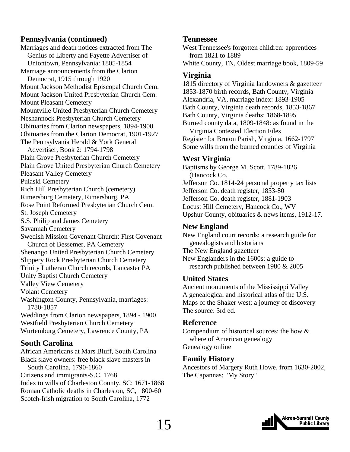#### **Pennsylvania (continued)**

Marriages and death notices extracted from The Genius of Liberty and Fayette Advertiser of Uniontown, Pennsylvania: 1805-1854 Marriage announcements from the Clarion Democrat, 1915 through 1920 Mount Jackson Methodist Episcopal Church Cem. Mount Jackson United Presbyterian Church Cem. Mount Pleasant Cemetery Mountville United Presbyterian Church Cemetery Neshannock Presbyterian Church Cemetery Obituaries from Clarion newspapers, 1894-1900 Obituaries from the Clarion Democrat, 1901-1927 The Pennsylvania Herald & York General Advertiser, Book 2: 1794-1798 Plain Grove Presbyterian Church Cemetery Plain Grove United Presbyterian Church Cemetery Pleasant Valley Cemetery Pulaski Cemetery Rich Hill Presbyterian Church (cemetery) Rimersburg Cemetery, Rimersburg, PA Rose Point Reformed Presbyterian Church Cem. St. Joseph Cemetery S.S. Philip and James Cemetery Savannah Cemetery Swedish Mission Covenant Church: First Covenant Church of Bessemer, PA Cemetery Shenango United Presbyterian Church Cemetery Slippery Rock Presbyterian Church Cemetery Trinity Lutheran Church records, Lancaster PA Unity Baptist Church Cemetery Valley View Cemetery Volant Cemetery Washington County, Pennsylvania, marriages: 1780-1857 Weddings from Clarion newspapers, 1894 - 1900 Westfield Presbyterian Church Cemetery Wurtemburg Cemetery, Lawrence County, PA **South Carolina** 

#### African Americans at Mars Bluff, South Carolina Black slave owners: free black slave masters in South Carolina, 1790-1860 Citizens and immigrants-S.C. 1768 Index to wills of Charleston County, SC: 1671-1868 Roman Catholic deaths in Charleston, SC, 1800-60 Scotch-Irish migration to South Carolina, 1772

#### **Tennessee**

West Tennessee's forgotten children: apprentices from 1821 to 1889

White County, TN, Oldest marriage book, 1809-59

#### **Virginia**

1815 directory of Virginia landowners & gazetteer 1853-1870 birth records, Bath County, Virginia Alexandria, VA, marriage index: 1893-1905 Bath County, Virginia death records, 1853-1867 Bath County, Virginia deaths: 1868-1895 Burned county data, 1809-1848: as found in the Virginia Contested Election Files Register for Bruton Parish, Virginia, 1662-1797 Some wills from the burned counties of Virginia

#### **West Virginia**

Baptisms by George M. Scott, 1789-1826 (Hancock Co. Jefferson Co. 1814-24 personal property tax lists Jefferson Co. death register, 1853-80 Jefferson Co. death register, 1881-1903 Locust Hill Cemetery, Hancock Co., WV Upshur County, obituaries & news items, 1912-17.

#### **New England**

New England court records: a research guide for genealogists and historians The New England gazetteer New Englanders in the 1600s: a guide to research published between 1980 & 2005

#### **United States**

Ancient monuments of the Mississippi Valley A genealogical and historical atlas of the U.S. Maps of the Shaker west: a journey of discovery The source: 3rd ed.

#### **Reference**

Compendium of historical sources: the how & where of American genealogy Genealogy online

#### **Family History**

Ancestors of Margery Ruth Howe, from 1630-2002, The Capannas: "My Story"